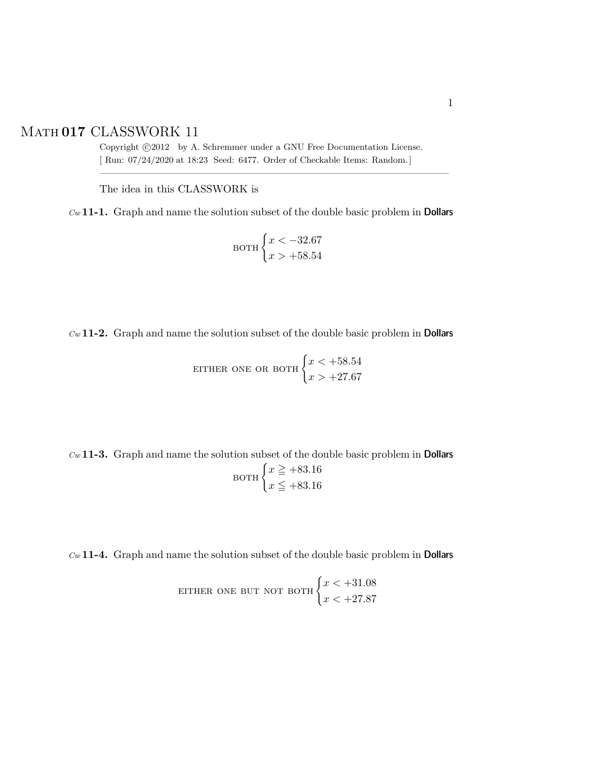## Math **017** CLASSWORK 11

Copyright  $\odot$ 2012 by A. Schremmer under a GNU Free Documentation License. [ Run: 07/24/2020 at 18:23 Seed: 6477. Order of Checkable Items: Random.]

————————————————————————————————–

The idea in this CLASSWORK is

*Cw* **11-1.** Graph and name the solution subset of the double basic problem in Dollars

$$
\text{BOTH} \begin{cases} x < -32.67 \\ x > +58.54 \end{cases}
$$

*Cw* **11-2.** Graph and name the solution subset of the double basic problem in Dollars

EITHER ONE OR BOTH 
$$
\begin{cases} x < +58.54 \\ x > +27.67 \end{cases}
$$

*Cw* **11-3.** Graph and name the solution subset of the double basic problem in Dollars

$$
\text{BOTH} \begin{cases} x \geq +83.16 \\ x \leq +83.16 \end{cases}
$$

*Cw* **11-4.** Graph and name the solution subset of the double basic problem in Dollars

**ETHER ONE BUT NOT BOTH** 
$$
\begin{cases} x < +31.08 \\ x < +27.87 \end{cases}
$$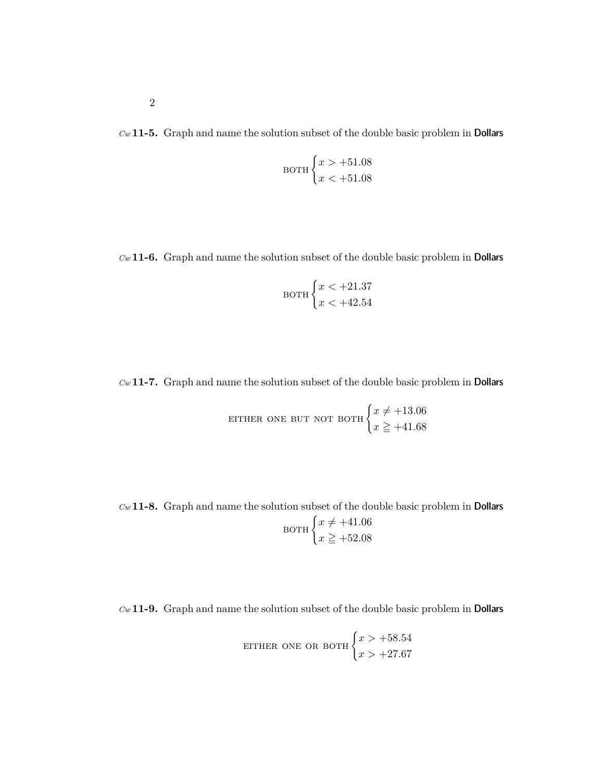*Cw* **11-5.** Graph and name the solution subset of the double basic problem in Dollars

$$
\text{BOTH} \begin{cases} x > +51.08 \\ x < +51.08 \end{cases}
$$

*Cw* **11-6.** Graph and name the solution subset of the double basic problem in Dollars

$$
\text{BOTH} \begin{cases} x < +21.37 \\ x < +42.54 \end{cases}
$$

*Cw* **11-7.** Graph and name the solution subset of the double basic problem in Dollars

**ETHER ONE BUT NOT BOTH** 
$$
\begin{cases} x \neq +13.06 \\ x \geq +41.68 \end{cases}
$$

*Cw* **11-8.** Graph and name the solution subset of the double basic problem in Dollars  $_{\rm BOTH}$   $\left\{ x\neq +41.06\right\}$  $x \ge 152.08$ 

*Cw* **11-9.** Graph and name the solution subset of the double basic problem in Dollars

EITHER ONE OR BOTH 
$$
\begin{cases} x > +58.54 \\ x > +27.67 \end{cases}
$$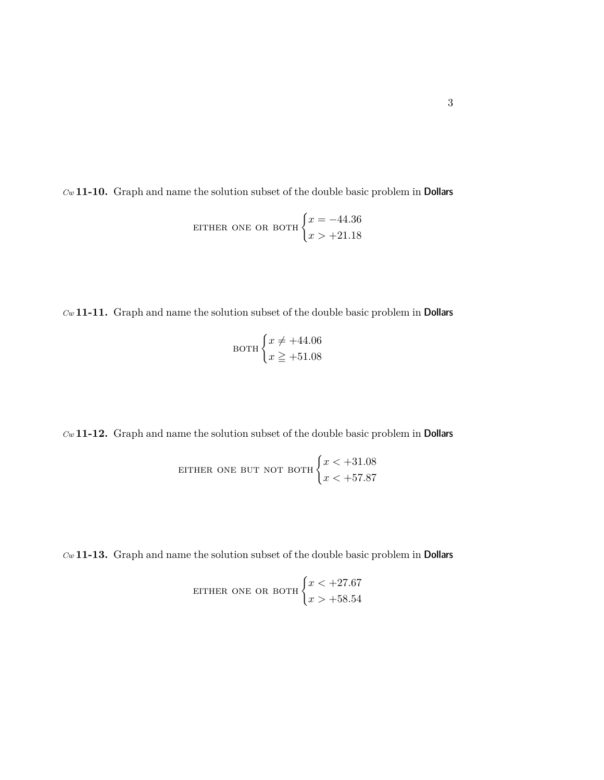*Cw* **11-10.** Graph and name the solution subset of the double basic problem in Dollars

EITHER ONE OR BOTH 
$$
\begin{cases} x = -44.36 \\ x > +21.18 \end{cases}
$$

*Cw* **11-11.** Graph and name the solution subset of the double basic problem in Dollars

$$
\text{BOTH}\begin{cases} x \neq +44.06\\ x \geq +51.08 \end{cases}
$$

*Cw* **11-12.** Graph and name the solution subset of the double basic problem in Dollars

**ETHER ONE BUT NOT BOTH**\n
$$
\begin{cases}\nx < +31.08 \\
x < +57.87\n\end{cases}
$$

*Cw* **11-13.** Graph and name the solution subset of the double basic problem in Dollars

**ETHER ONE OR BOTH** 
$$
\begin{cases} x < +27.67 \\ x > +58.54 \end{cases}
$$